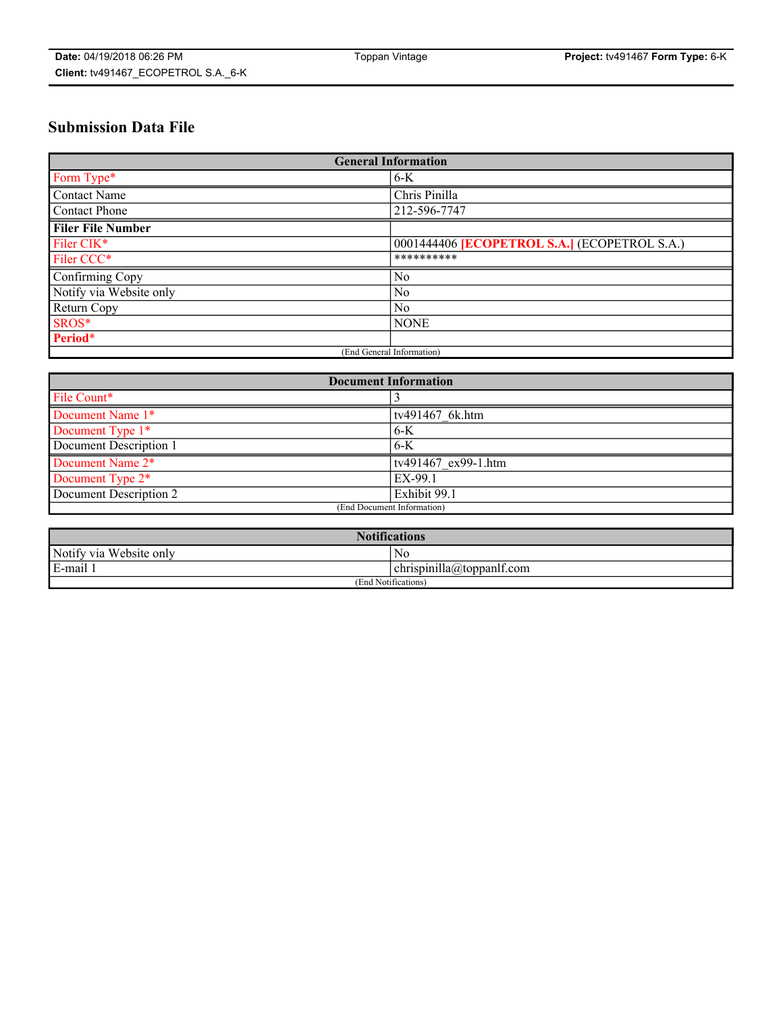# **Submission Data File**

| <b>General Information</b> |                                                     |
|----------------------------|-----------------------------------------------------|
| Form Type*                 | $6-K$                                               |
| Contact Name               | Chris Pinilla                                       |
| Contact Phone              | 212-596-7747                                        |
| <b>Filer File Number</b>   |                                                     |
| Filer CIK*                 | 0001444406 <b>[ECOPETROL S.A.]</b> (ECOPETROL S.A.) |
| Filer CCC*                 | **********                                          |
| Confirming Copy            | N <sub>0</sub>                                      |
| Notify via Website only    | N <sub>0</sub>                                      |
| Return Copy                | No                                                  |
| SROS*                      | <b>NONE</b>                                         |
| Period*                    |                                                     |
| (End General Information)  |                                                     |

| <b>Document Information</b> |                     |
|-----------------------------|---------------------|
| File Count*                 |                     |
| Document Name 1*            | tv491467 6k.htm     |
| Document Type 1*            | 6-K                 |
| Document Description 1      | 6-K                 |
| Document Name 2*            | tv491467 ex99-1.htm |
| Document Type 2*            | EX-99.1             |
| Document Description 2      | Exhibit 99.1        |
| (End Document Information)  |                     |

| <b>Notifications</b>    |                                        |  |
|-------------------------|----------------------------------------|--|
| Notify via Website only | N0                                     |  |
| E-mail 1                | <br>10<br> chrispinilla(a)toppanIt.com |  |
| (End Notifications)     |                                        |  |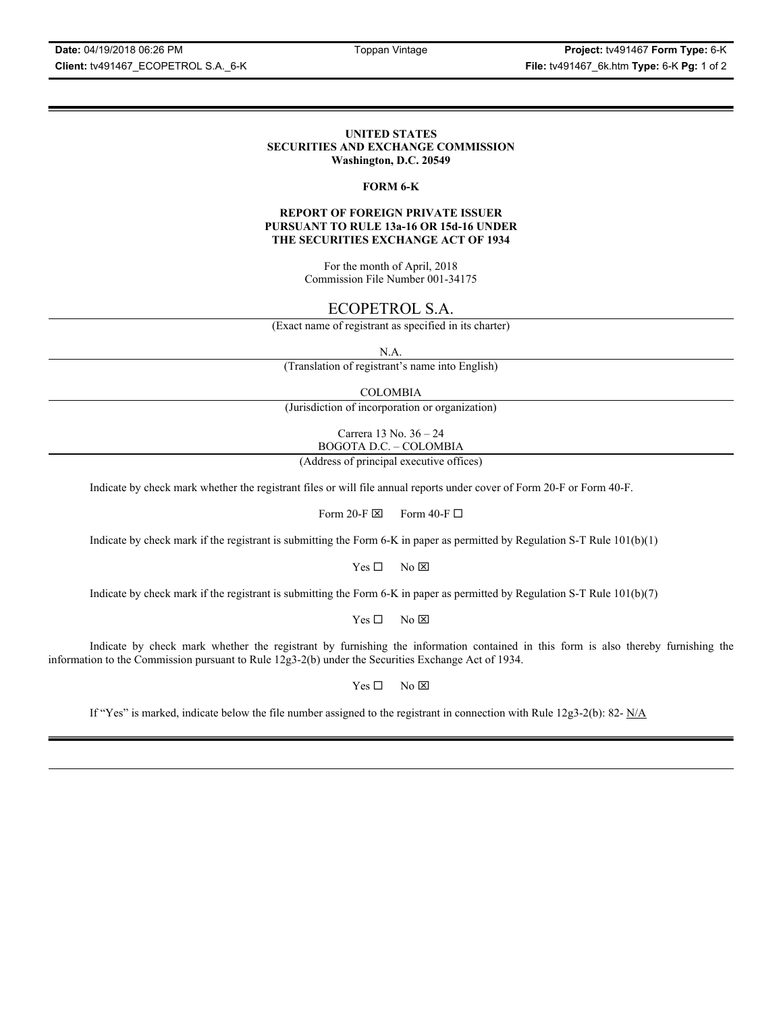**Date:** 04/19/2018 06:26 PM Toppan Vintage **Project:** tv491467 **Form Type:** 6-K **Client:** tv491467\_ECOPETROL S.A.\_6-K **File:** tv491467\_6k.htm **Type:** 6-K **Pg:** 1 of 2

#### **UNITED STATES SECURITIES AND EXCHANGE COMMISSION Washington, D.C. 20549**

#### **FORM 6-K**

#### **REPORT OF FOREIGN PRIVATE ISSUER PURSUANT TO RULE 13a-16 OR 15d-16 UNDER THE SECURITIES EXCHANGE ACT OF 1934**

For the month of April, 2018 Commission File Number 001-34175

## ECOPETROL S.A.

(Exact name of registrant as specified in its charter)

N.A.

(Translation of registrant's name into English)

COLOMBIA

(Jurisdiction of incorporation or organization)

Carrera 13 No. 36 – 24 BOGOTA D.C. – COLOMBIA

(Address of principal executive offices)

Indicate by check mark whether the registrant files or will file annual reports under cover of Form 20-F or Form 40-F.

Form 20-F  $\boxtimes$  Form 40-F  $\Box$ 

Indicate by check mark if the registrant is submitting the Form 6-K in paper as permitted by Regulation S-T Rule 101(b)(1)

 $Yes \Box$  No  $\boxtimes$ 

Indicate by check mark if the registrant is submitting the Form 6-K in paper as permitted by Regulation S-T Rule 101(b)(7)

 $Yes \Box$  No  $\boxtimes$ 

Indicate by check mark whether the registrant by furnishing the information contained in this form is also thereby furnishing the information to the Commission pursuant to Rule 12g3-2(b) under the Securities Exchange Act of 1934.

 $Yes \Box$  No  $\boxtimes$ 

If "Yes" is marked, indicate below the file number assigned to the registrant in connection with Rule  $12g3-2(b)$ : 82- N/A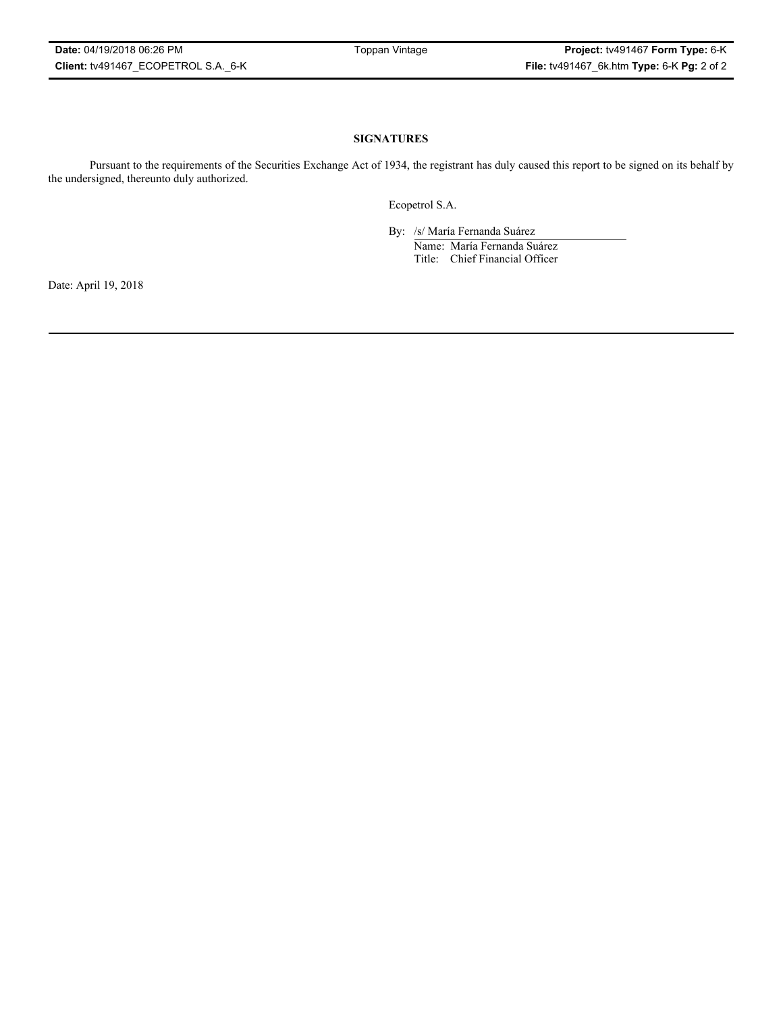### **SIGNATURES**

Pursuant to the requirements of the Securities Exchange Act of 1934, the registrant has duly caused this report to be signed on its behalf by the undersigned, thereunto duly authorized.

Ecopetrol S.A.

By: /s/ María Fernanda Suárez Name: María Fernanda Suárez Title: Chief Financial Officer

Date: April 19, 2018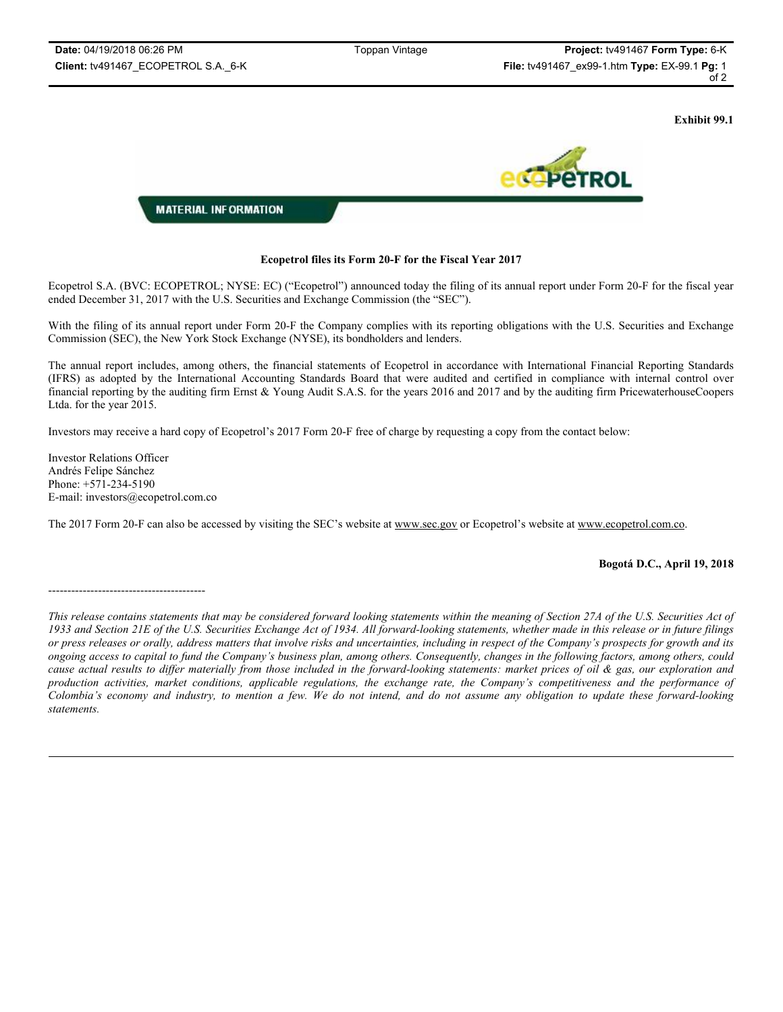**Exhibit 99.1**



#### **Ecopetrol files its Form 20-F for the Fiscal Year 2017**

Ecopetrol S.A. (BVC: ECOPETROL; NYSE: EC) ("Ecopetrol") announced today the filing of its annual report under Form 20-F for the fiscal year ended December 31, 2017 with the U.S. Securities and Exchange Commission (the "SEC").

With the filing of its annual report under Form 20-F the Company complies with its reporting obligations with the U.S. Securities and Exchange Commission (SEC), the New York Stock Exchange (NYSE), its bondholders and lenders.

The annual report includes, among others, the financial statements of Ecopetrol in accordance with International Financial Reporting Standards (IFRS) as adopted by the International Accounting Standards Board that were audited and certified in compliance with internal control over financial reporting by the auditing firm Ernst & Young Audit S.A.S. for the years 2016 and 2017 and by the auditing firm PricewaterhouseCoopers Ltda. for the year 2015.

Investors may receive a hard copy of Ecopetrol's 2017 Form 20-F free of charge by requesting a copy from the contact below:

Investor Relations Officer Andrés Felipe Sánchez Phone: +571-234-5190 E-mail: investors@ecopetrol.com.co

The 2017 Form 20-F can also be accessed by visiting the SEC's website at www.sec.gov or Ecopetrol's website at www.ecopetrol.com.co.

#### **Bogotá D.C., April 19, 2018**

#### -----------------------------------------

*This release contains statements that may be considered forward looking statements within the meaning of Section 27A of the U.S. Securities Act of 1933 and Section 21E of the U.S. Securities Exchange Act of 1934. All forward-looking statements, whether made in this release or in future filings or press releases or orally, address matters that involve risks and uncertainties, including in respect of the Company's prospects for growth and its ongoing access to capital to fund the Company's business plan, among others. Consequently, changes in the following factors, among others, could cause actual results to differ materially from those included in the forward-looking statements: market prices of oil & gas, our exploration and production activities, market conditions, applicable regulations, the exchange rate, the Company's competitiveness and the performance of Colombia's economy and industry, to mention a few. We do not intend, and do not assume any obligation to update these forward-looking statements.*